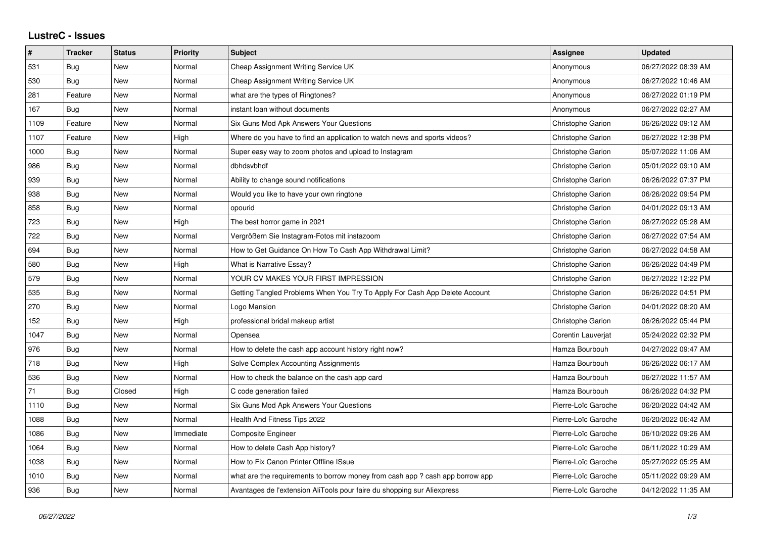## **LustreC - Issues**

| #    | <b>Tracker</b> | <b>Status</b> | <b>Priority</b> | <b>Subject</b>                                                               | Assignee                 | <b>Updated</b>      |
|------|----------------|---------------|-----------------|------------------------------------------------------------------------------|--------------------------|---------------------|
| 531  | Bug            | <b>New</b>    | Normal          | Cheap Assignment Writing Service UK                                          | Anonymous                | 06/27/2022 08:39 AM |
| 530  | Bug            | <b>New</b>    | Normal          | Cheap Assignment Writing Service UK                                          | Anonymous                | 06/27/2022 10:46 AM |
| 281  | Feature        | New           | Normal          | what are the types of Ringtones?                                             | Anonymous                | 06/27/2022 01:19 PM |
| 167  | Bug            | <b>New</b>    | Normal          | instant loan without documents                                               | Anonymous                | 06/27/2022 02:27 AM |
| 1109 | Feature        | <b>New</b>    | Normal          | Six Guns Mod Apk Answers Your Questions                                      | Christophe Garion        | 06/26/2022 09:12 AM |
| 1107 | Feature        | New           | High            | Where do you have to find an application to watch news and sports videos?    | Christophe Garion        | 06/27/2022 12:38 PM |
| 1000 | Bug            | New           | Normal          | Super easy way to zoom photos and upload to Instagram                        | Christophe Garion        | 05/07/2022 11:06 AM |
| 986  | Bug            | <b>New</b>    | Normal          | dbhdsvbhdf                                                                   | <b>Christophe Garion</b> | 05/01/2022 09:10 AM |
| 939  | Bug            | <b>New</b>    | Normal          | Ability to change sound notifications                                        | Christophe Garion        | 06/26/2022 07:37 PM |
| 938  | Bug            | <b>New</b>    | Normal          | Would you like to have your own ringtone                                     | Christophe Garion        | 06/26/2022 09:54 PM |
| 858  | Bug            | <b>New</b>    | Normal          | opourid                                                                      | Christophe Garion        | 04/01/2022 09:13 AM |
| 723  | Bug            | <b>New</b>    | High            | The best horror game in 2021                                                 | Christophe Garion        | 06/27/2022 05:28 AM |
| 722  | Bug            | <b>New</b>    | Normal          | Vergrößern Sie Instagram-Fotos mit instazoom                                 | Christophe Garion        | 06/27/2022 07:54 AM |
| 694  | Bug            | <b>New</b>    | Normal          | How to Get Guidance On How To Cash App Withdrawal Limit?                     | Christophe Garion        | 06/27/2022 04:58 AM |
| 580  | Bug            | New           | High            | <b>What is Narrative Essay?</b>                                              | Christophe Garion        | 06/26/2022 04:49 PM |
| 579  | Bug            | <b>New</b>    | Normal          | YOUR CV MAKES YOUR FIRST IMPRESSION                                          | Christophe Garion        | 06/27/2022 12:22 PM |
| 535  | Bug            | <b>New</b>    | Normal          | Getting Tangled Problems When You Try To Apply For Cash App Delete Account   | Christophe Garion        | 06/26/2022 04:51 PM |
| 270  | Bug            | New           | Normal          | Logo Mansion                                                                 | Christophe Garion        | 04/01/2022 08:20 AM |
| 152  | Bug            | New           | High            | professional bridal makeup artist                                            | Christophe Garion        | 06/26/2022 05:44 PM |
| 1047 | Bug            | <b>New</b>    | Normal          | Opensea                                                                      | Corentin Lauverjat       | 05/24/2022 02:32 PM |
| 976  | Bug            | New           | Normal          | How to delete the cash app account history right now?                        | Hamza Bourbouh           | 04/27/2022 09:47 AM |
| 718  | <b>Bug</b>     | <b>New</b>    | High            | Solve Complex Accounting Assignments                                         | Hamza Bourbouh           | 06/26/2022 06:17 AM |
| 536  | Bug            | New           | Normal          | How to check the balance on the cash app card                                | Hamza Bourbouh           | 06/27/2022 11:57 AM |
| 71   | Bug            | Closed        | High            | C code generation failed                                                     | Hamza Bourbouh           | 06/26/2022 04:32 PM |
| 1110 | Bug            | <b>New</b>    | Normal          | Six Guns Mod Apk Answers Your Questions                                      | Pierre-Loïc Garoche      | 06/20/2022 04:42 AM |
| 1088 | Bug            | <b>New</b>    | Normal          | Health And Fitness Tips 2022                                                 | Pierre-Loïc Garoche      | 06/20/2022 06:42 AM |
| 1086 | Bug            | New           | Immediate       | Composite Engineer                                                           | Pierre-Loïc Garoche      | 06/10/2022 09:26 AM |
| 1064 | <b>Bug</b>     | <b>New</b>    | Normal          | How to delete Cash App history?                                              | Pierre-Loïc Garoche      | 06/11/2022 10:29 AM |
| 1038 | Bug            | New           | Normal          | How to Fix Canon Printer Offline ISsue                                       | Pierre-Loïc Garoche      | 05/27/2022 05:25 AM |
| 1010 | Bug            | <b>New</b>    | Normal          | what are the requirements to borrow money from cash app? cash app borrow app | Pierre-Loïc Garoche      | 05/11/2022 09:29 AM |
| 936  | <b>Bug</b>     | New           | Normal          | Avantages de l'extension AliTools pour faire du shopping sur Aliexpress      | Pierre-Loïc Garoche      | 04/12/2022 11:35 AM |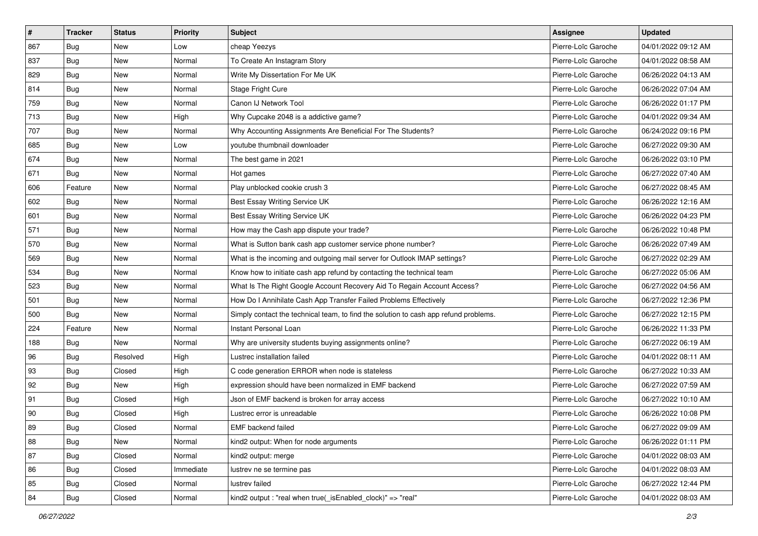| $\pmb{\#}$ | <b>Tracker</b> | <b>Status</b> | <b>Priority</b> | <b>Subject</b>                                                                       | <b>Assignee</b>     | <b>Updated</b>      |
|------------|----------------|---------------|-----------------|--------------------------------------------------------------------------------------|---------------------|---------------------|
| 867        | Bug            | New           | Low             | cheap Yeezys                                                                         | Pierre-Loïc Garoche | 04/01/2022 09:12 AM |
| 837        | Bug            | <b>New</b>    | Normal          | To Create An Instagram Story                                                         | Pierre-Loïc Garoche | 04/01/2022 08:58 AM |
| 829        | Bug            | New           | Normal          | Write My Dissertation For Me UK                                                      | Pierre-Loïc Garoche | 06/26/2022 04:13 AM |
| 814        | Bug            | New           | Normal          | Stage Fright Cure                                                                    | Pierre-Loïc Garoche | 06/26/2022 07:04 AM |
| 759        | Bug            | New           | Normal          | Canon IJ Network Tool                                                                | Pierre-Loïc Garoche | 06/26/2022 01:17 PM |
| 713        | <b>Bug</b>     | New           | High            | Why Cupcake 2048 is a addictive game?                                                | Pierre-Loïc Garoche | 04/01/2022 09:34 AM |
| 707        | Bug            | New           | Normal          | Why Accounting Assignments Are Beneficial For The Students?                          | Pierre-Loïc Garoche | 06/24/2022 09:16 PM |
| 685        | <b>Bug</b>     | New           | Low             | youtube thumbnail downloader                                                         | Pierre-Loïc Garoche | 06/27/2022 09:30 AM |
| 674        | Bug            | New           | Normal          | The best game in 2021                                                                | Pierre-Loïc Garoche | 06/26/2022 03:10 PM |
| 671        | Bug            | New           | Normal          | Hot games                                                                            | Pierre-Loïc Garoche | 06/27/2022 07:40 AM |
| 606        | Feature        | <b>New</b>    | Normal          | Play unblocked cookie crush 3                                                        | Pierre-Loïc Garoche | 06/27/2022 08:45 AM |
| 602        | Bug            | New           | Normal          | Best Essay Writing Service UK                                                        | Pierre-Loïc Garoche | 06/26/2022 12:16 AM |
| 601        | <b>Bug</b>     | New           | Normal          | Best Essay Writing Service UK                                                        | Pierre-Loïc Garoche | 06/26/2022 04:23 PM |
| 571        | Bug            | New           | Normal          | How may the Cash app dispute your trade?                                             | Pierre-Loïc Garoche | 06/26/2022 10:48 PM |
| 570        | Bug            | New           | Normal          | What is Sutton bank cash app customer service phone number?                          | Pierre-Loïc Garoche | 06/26/2022 07:49 AM |
| 569        | <b>Bug</b>     | New           | Normal          | What is the incoming and outgoing mail server for Outlook IMAP settings?             | Pierre-Loïc Garoche | 06/27/2022 02:29 AM |
| 534        | Bug            | New           | Normal          | Know how to initiate cash app refund by contacting the technical team                | Pierre-Loïc Garoche | 06/27/2022 05:06 AM |
| 523        | <b>Bug</b>     | New           | Normal          | What Is The Right Google Account Recovery Aid To Regain Account Access?              | Pierre-Loïc Garoche | 06/27/2022 04:56 AM |
| 501        | <b>Bug</b>     | New           | Normal          | How Do I Annihilate Cash App Transfer Failed Problems Effectively                    | Pierre-Loïc Garoche | 06/27/2022 12:36 PM |
| 500        | Bug            | New           | Normal          | Simply contact the technical team, to find the solution to cash app refund problems. | Pierre-Loïc Garoche | 06/27/2022 12:15 PM |
| 224        | Feature        | New           | Normal          | Instant Personal Loan                                                                | Pierre-Loïc Garoche | 06/26/2022 11:33 PM |
| 188        | Bug            | <b>New</b>    | Normal          | Why are university students buying assignments online?                               | Pierre-Loïc Garoche | 06/27/2022 06:19 AM |
| 96         | <b>Bug</b>     | Resolved      | High            | Lustrec installation failed                                                          | Pierre-Loïc Garoche | 04/01/2022 08:11 AM |
| 93         | <b>Bug</b>     | Closed        | High            | C code generation ERROR when node is stateless                                       | Pierre-Loïc Garoche | 06/27/2022 10:33 AM |
| 92         | <b>Bug</b>     | New           | High            | expression should have been normalized in EMF backend                                | Pierre-Loïc Garoche | 06/27/2022 07:59 AM |
| 91         | <b>Bug</b>     | Closed        | High            | Json of EMF backend is broken for array access                                       | Pierre-Loïc Garoche | 06/27/2022 10:10 AM |
| 90         | <b>Bug</b>     | Closed        | High            | Lustrec error is unreadable                                                          | Pierre-Loïc Garoche | 06/26/2022 10:08 PM |
| 89         | <b>Bug</b>     | Closed        | Normal          | EMF backend failed                                                                   | Pierre-Loïc Garoche | 06/27/2022 09:09 AM |
| 88         | Bug            | New           | Normal          | kind2 output: When for node arguments                                                | Pierre-Loïc Garoche | 06/26/2022 01:11 PM |
| 87         | Bug            | Closed        | Normal          | kind2 output: merge                                                                  | Pierre-Loïc Garoche | 04/01/2022 08:03 AM |
| 86         | Bug            | Closed        | Immediate       | lustrev ne se termine pas                                                            | Pierre-Loïc Garoche | 04/01/2022 08:03 AM |
| 85         | Bug            | Closed        | Normal          | lustrev failed                                                                       | Pierre-Loïc Garoche | 06/27/2022 12:44 PM |
| 84         | Bug            | Closed        | Normal          | kind2 output : "real when true(_isEnabled_clock)" => "real"                          | Pierre-Loïc Garoche | 04/01/2022 08:03 AM |